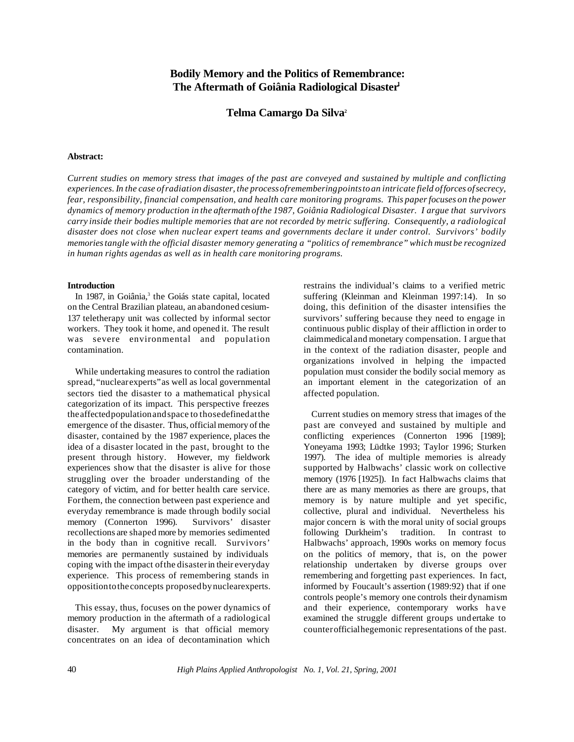# **Bodily Memory and the Politics of Remembrance: The Aftermath of Goiânia Radiological Disaster<sup>1</sup>**

# **Telma Camargo Da Silva<sup>2</sup>**

#### **Abstract:**

Current studies on memory stress that images of the past are conveyed and sustained by multiple and conflicting *experiences. In the case ofradiation disaster, the processofrememberingpointstoan intricate field offorces ofsecrecy, fear, responsibility, financial compensation, and health care monitoring programs. This paperfocuses on the power dynamics of memory production in the aftermath ofthe 1987, Goiânia Radiological Disaster. I argue that survivors carry inside their bodies multiple memories that are not recorded by metric suffering. Consequently, a radiological disaster does not close when nuclear expert teams and governments declare it under control. Survivors' bodily memoriestangle with the official disaster memory generating a "politics of remembrance" which must be recognized in human rights agendas as well as in health care monitoring programs.*

## **Introduction**

In 1987, in Goiânia,<sup>3</sup> the Goiás state capital, located on the Central Brazilian plateau, an abandoned cesium-137 teletherapy unit was collected by informal sector workers. They took it home, and opened it. The result was severe environmental and population contamination.

While undertaking measures to control the radiation spread,"nuclearexperts"as well as local governmental sectors tied the disaster to a mathematical physical categorization of its impact. This perspective freezes theaffectedpopulationandspace to thosedefinedatthe emergence of the disaster. Thus, official memory of the disaster, contained by the 1987 experience, places the idea of a disaster located in the past, brought to the present through history. However, my fieldwork experiences show that the disaster is alive for those struggling over the broader understanding of the category of victim, and for better health care service. Forthem, the connection between past experience and everyday remembrance is made through bodily social memory (Connerton 1996). Survivors' disaster recollections are shaped more by memories sedimented in the body than in cognitive recall. Survivors' memories are permanently sustained by individuals coping with the impact ofthe disasterin their everyday experience. This process of remembering stands in oppositiontotheconcepts proposedbynuclearexperts.

This essay, thus, focuses on the power dynamics of memory production in the aftermath of a radiological disaster. My argument is that official memory concentrates on an idea of decontamination which

restrains the individual's claims to a verified metric suffering (Kleinman and Kleinman 1997:14). In so doing, this definition of the disaster intensifies the survivors' suffering because they need to engage in continuous public display of their affliction in order to claimmedicaland monetary compensation. I argue that in the context of the radiation disaster, people and organizations involved in helping the impacted population must consider the bodily social memory as an important element in the categorization of an affected population.

Current studies on memory stress that images of the past are conveyed and sustained by multiple and conflicting experiences (Connerton 1996 [1989]; Yoneyama 1993; Lüdtke 1993; Taylor 1996; Sturken 1997). The idea of multiple memories is already supported by Halbwachs' classic work on collective memory (1976 [1925]). In fact Halbwachs claims that there are as many memories as there are groups, that memory is by nature multiple and yet specific, collective, plural and individual. Nevertheless his major concern is with the moral unity of social groups following Durkheim's tradition. In contrast to Halbwachs' approach, 1990s works on memory focus on the politics of memory, that is, on the power relationship undertaken by diverse groups over remembering and forgetting past experiences. In fact, informed by Foucault's assertion (1989:92) that if one controls people's memory one controls their dynamism and their experience, contemporary works have examined the struggle different groups undertake to counterofficialhegemonic representations of the past.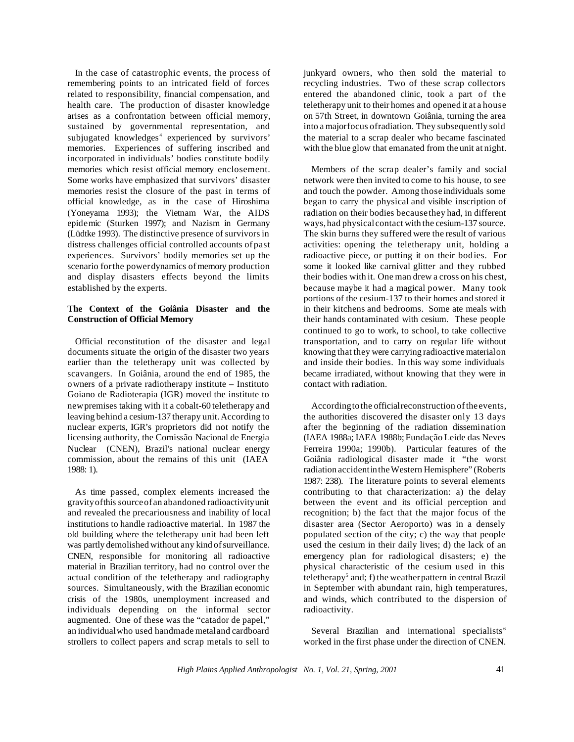In the case of catastrophic events, the process of remembering points to an intricated field of forces related to responsibility, financial compensation, and health care. The production of disaster knowledge arises as a confrontation between official memory, sustained by governmental representation, and subjugated knowledges<sup>4</sup> experienced by survivors' memories. Experiences of suffering inscribed and incorporated in individuals' bodies constitute bodily memories which resist official memory enclosement. Some works have emphasized that survivors' disaster memories resist the closure of the past in terms of official knowledge, as in the case of Hiroshima (Yoneyama 1993); the Vietnam War, the AIDS epidemic (Sturken 1997); and Nazism in Germany (Lüdtke 1993). The distinctive presence of survivors in distress challenges official controlled accounts ofpast experiences. Survivors' bodily memories set up the scenario for the power dynamics of memory production and display disasters effects beyond the limits established by the experts.

## **The Context of the Goiânia Disaster and the Construction of Official Memory**

Official reconstitution of the disaster and legal documents situate the origin of the disaster two years earlier than the teletherapy unit was collected by scavangers. In Goiânia, around the end of 1985, the owners of a private radiotherapy institute – Instituto Goiano de Radioterapia (IGR) moved the institute to newpremises taking with it a cobalt-60 teletherapy and leaving behind a cesium-137 therapy unit.According to nuclear experts, IGR's proprietors did not notify the licensing authority, the Comissão Nacional de Energia Nuclear (CNEN), Brazil's national nuclear energy commission, about the remains of this unit (IAEA 1988: 1).

As time passed, complex elements increased the gravityofthis sourceof an abandoned radioactivityunit and revealed the precariousness and inability of local institutions to handle radioactive material. In 1987 the old building where the teletherapy unit had been left was partly demolished without any kind of surveillance. CNEN, responsible for monitoring all radioactive material in Brazilian territory, had no control over the actual condition of the teletherapy and radiography sources. Simultaneously, with the Brazilian economic crisis of the 1980s, unemployment increased and individuals depending on the informal sector augmented. One of these was the "catador de papel," an individualwho used handmade metaland cardboard strollers to collect papers and scrap metals to sell to

junkyard owners, who then sold the material to recycling industries. Two of these scrap collectors entered the abandoned clinic, took a part of the teletherapy unit to their homes and opened it at a house on 57th Street, in downtown Goiânia, turning the area into a majorfocus ofradiation. They subsequently sold the material to a scrap dealer who became fascinated with the blue glow that emanated from the unit at night.

Members of the scrap dealer's family and social network were then invited to come to his house, to see and touch the powder. Among those individuals some began to carry the physical and visible inscription of radiation on their bodies because they had, in different ways,had physicalcontact with the cesium-137 source. The skin burns they suffered were the result of various activities: opening the teletherapy unit, holding a radioactive piece, or putting it on their bodies. For some it looked like carnival glitter and they rubbed their bodies with it. One man drew a cross on his chest, because maybe it had a magical power. Many took portions of the cesium-137 to their homes and stored it in their kitchens and bedrooms. Some ate meals with their hands contaminated with cesium. These people continued to go to work, to school, to take collective transportation, and to carry on regular life without knowing that they were carrying radioactive materialon and inside their bodies. In this way some individuals became irradiated, without knowing that they were in contact with radiation.

According to the official reconstruction of the events, the authorities discovered the disaster only 13 days after the beginning of the radiation dissemination (IAEA 1988a; IAEA 1988b; Fundação Leide das Neves Ferreira 1990a; 1990b). Particular features of the Goiânia radiological disaster made it "the worst radiation accidentintheWestern Hemisphere" (Roberts 1987: 238). The literature points to several elements contributing to that characterization: a) the delay between the event and its official perception and recognition; b) the fact that the major focus of the disaster area (Sector Aeroporto) was in a densely populated section of the city; c) the way that people used the cesium in their daily lives; d) the lack of an emergency plan for radiological disasters; e) the physical characteristic of the cesium used in this teletherapy<sup>5</sup> and; f) the weather pattern in central Brazil in September with abundant rain, high temperatures, and winds, which contributed to the dispersion of radioactivity.

Several Brazilian and international specialists<sup>6</sup> worked in the first phase under the direction of CNEN.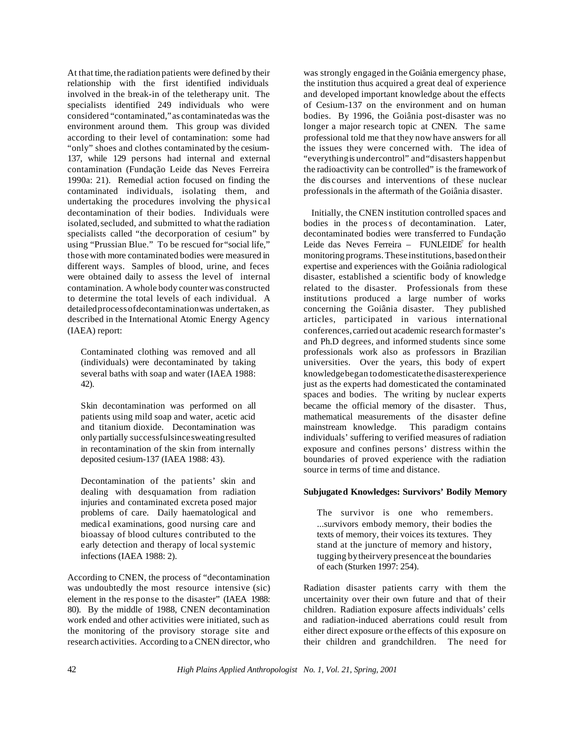At that time, the radiation patients were defined by their relationship with the first identified individuals involved in the break-in of the teletherapy unit. The specialists identified 249 individuals who were considered "contaminated,"as contaminatedas was the environment around them. This group was divided according to their level of contamination: some had "only" shoes and clothes contaminated by the cesium-137, while 129 persons had internal and external contamination (Fundação Leide das Neves Ferreira 1990a: 21). Remedial action focused on finding the contaminated individuals, isolating them, and undertaking the procedures involving the physical decontamination of their bodies. Individuals were isolated, secluded, and submitted to what the radiation specialists called "the decorporation of cesium" by using "Prussian Blue." To be rescued for"social life," thosewith more contaminated bodies were measured in different ways. Samples of blood, urine, and feces were obtained daily to assess the level of internal contamination. A whole body counter was constructed to determine the total levels of each individual. A detailedprocessofdecontaminationwas undertaken,as described in the International Atomic Energy Agency (IAEA) report:

Contaminated clothing was removed and all (individuals) were decontaminated by taking several baths with soap and water (IAEA 1988: 42).

Skin decontamination was performed on all patients using mild soap and water, acetic acid and titanium dioxide. Decontamination was only partially successfulsincesweatingresulted in recontamination of the skin from internally deposited cesium-137 (IAEA 1988: 43).

Decontamination of the patients' skin and dealing with desquamation from radiation injuries and contaminated excreta posed major problems of care. Daily haematological and medical examinations, good nursing care and bioassay of blood cultures contributed to the early detection and therapy of local systemic infections (IAEA 1988: 2).

According to CNEN, the process of "decontamination was undoubtedly the most resource intensive (sic) element in the res ponse to the disaster" (IAEA 1988: 80). By the middle of 1988, CNEN decontamination work ended and other activities were initiated, such as the monitoring of the provisory storage site and research activities. According to a CNEN director, who was strongly engaged in the Goiânia emergency phase, the institution thus acquired a great deal of experience and developed important knowledge about the effects of Cesium-137 on the environment and on human bodies. By 1996, the Goiânia post-disaster was no longer a major research topic at CNEN. The same professional told me that they nowhave answers for all the issues they were concerned with. The idea of "everythingis undercontrol" and"disasters happenbut the radioactivity can be controlled" is the framework of the dis courses and interventions of these nuclear professionals in the aftermath of the Goiânia disaster.

Initially, the CNEN institution controlled spaces and bodies in the process of decontamination. Later, decontaminated bodies were transferred to Fundação Leide das Neves Ferreira - FUNLEIDE<sup>7</sup> for health monitoring programs. These institutions, based on their expertise and experiences with the Goiânia radiological disaster, established a scientific body of knowledge related to the disaster. Professionals from these institutions produced a large number of works concerning the Goiânia disaster. They published articles, participated in various international conferences,carried out academic research formaster's and Ph.D degrees, and informed students since some professionals work also as professors in Brazilian universities. Over the years, this body of expert knowledgebegan todomesticatethedisasterexperience just as the experts had domesticated the contaminated spaces and bodies. The writing by nuclear experts became the official memory of the disaster. Thus, mathematical measurements of the disaster define mainstream knowledge. This paradigm contains individuals' suffering to verified measures of radiation exposure and confines persons' distress within the boundaries of proved experience with the radiation source in terms of time and distance.

# **Subjugated Knowledges: Survivors' Bodily Memory**

The survivor is one who remembers. ...survivors embody memory, their bodies the texts of memory, their voices its textures. They stand at the juncture of memory and history, tugging bytheirvery presenceat the boundaries of each (Sturken 1997: 254).

Radiation disaster patients carry with them the uncertainity over their own future and that of their children. Radiation exposure affects individuals' cells and radiation-induced aberrations could result from either direct exposure orthe effects of this exposure on their children and grandchildren. The need for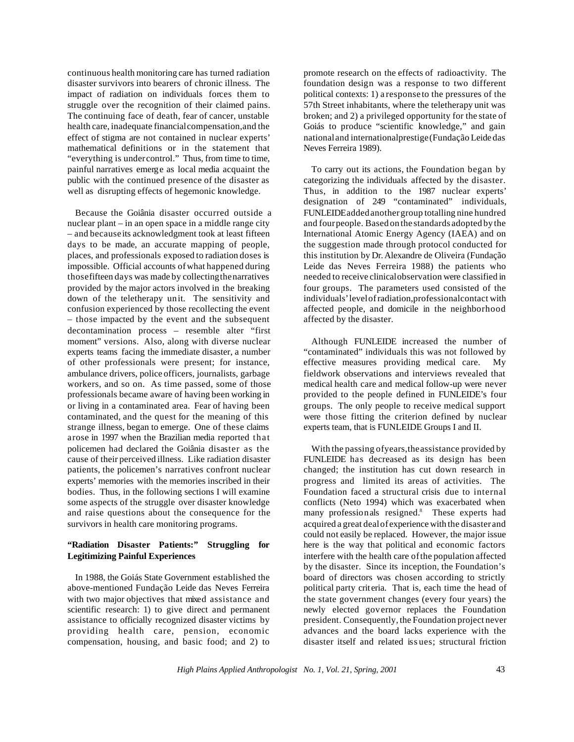continuous health monitoring care has turned radiation disaster survivors into bearers of chronic illness. The impact of radiation on individuals forces them to struggle over the recognition of their claimed pains. The continuing face of death, fear of cancer, unstable health care, inadequate financialcompensation,and the effect of stigma are not contained in nuclear experts' mathematical definitions or in the statement that "everything is undercontrol." Thus, from time to time, painful narratives emerge as local media acquaint the public with the continued presence of the disaster as well as disrupting effects of hegemonic knowledge.

Because the Goiânia disaster occurred outside a nuclear plant – in an open space in a middle range city – and because its acknowledgment took at least fifteen days to be made, an accurate mapping of people, places, and professionals exposed to radiation doses is impossible. Official accounts ofwhat happened during thosefifteen days was made by collectingthenarratives provided by the major actors involved in the breaking down of the teletherapy unit. The sensitivity and confusion experienced by those recollecting the event – those impacted by the event and the subsequent decontamination process – resemble alter "first moment" versions. Also, along with diverse nuclear experts teams facing the immediate disaster, a number of other professionals were present; for instance, ambulance drivers, police officers, journalists, garbage workers, and so on. As time passed, some of those professionals became aware of having been working in or living in a contaminated area. Fear of having been contaminated, and the quest for the meaning of this strange illness, began to emerge. One of these claims arose in 1997 when the Brazilian media reported that policemen had declared the Goiânia disaster as the cause of their perceived illness. Like radiation disaster patients, the policemen's narratives confront nuclear experts' memories with the memories inscribed in their bodies. Thus, in the following sections I will examine some aspects of the struggle over disaster knowledge and raise questions about the consequence for the survivors in health care monitoring programs.

# **"Radiation Disaster Patients:" Struggling for Legitimizing Painful Experiences**

In 1988, the Goiás State Government established the above-mentioned Fundação Leide das Neves Ferreira with two major objectives that mixed assistance and scientific research: 1) to give direct and permanent assistance to officially recognized disaster victims by providing health care, pension, economic compensation, housing, and basic food; and 2) to

promote research on the effects of radioactivity. The foundation design was a response to two different political contexts: 1) a response to the pressures of the 57th Street inhabitants, where the teletherapy unit was broken; and 2) a privileged opportunity for the state of Goiás to produce "scientific knowledge," and gain nationaland internationalprestige(Fundação Leide das Neves Ferreira 1989).

To carry out its actions, the Foundation began by categorizing the individuals affected by the disaster. Thus, in addition to the 1987 nuclear experts' designation of 249 "contaminated" individuals, FUNLEIDEaddedanothergroup totalling nine hundred and fourpeople. Based on the standards adopted by the International Atomic Energy Agency (IAEA) and on the suggestion made through protocol conducted for this institution by Dr.Alexandre de Oliveira (Fundação Leide das Neves Ferreira 1988) the patients who needed to receive clinicalobservation were classified in four groups. The parameters used consisted of the individuals'levelofradiation,professionalcontact with affected people, and domicile in the neighborhood affected by the disaster.

Although FUNLEIDE increased the number of "contaminated" individuals this was not followed by effective measures providing medical care. My fieldwork observations and interviews revealed that medical health care and medical follow-up were never provided to the people defined in FUNLEIDE's four groups. The only people to receive medical support were those fitting the criterion defined by nuclear experts team, that is FUNLEIDE Groups I and II.

With the passing ofyears,theassistance provided by FUNLEIDE has decreased as its design has been changed; the institution has cut down research in progress and limited its areas of activities. The Foundation faced a structural crisis due to internal conflicts (Neto 1994) which was exacerbated when many professionals resigned.<sup>8</sup> These experts had acquired a great dealof experience with the disasterand could not easily be replaced. However, the major issue here is the way that political and economic factors interfere with the health care ofthe population affected by the disaster. Since its inception, the Foundation's board of directors was chosen according to strictly political party criteria. That is, each time the head of the state government changes (every four years) the newly elected governor replaces the Foundation president. Consequently, the Foundation project never advances and the board lacks experience with the disaster itself and related iss ues; structural friction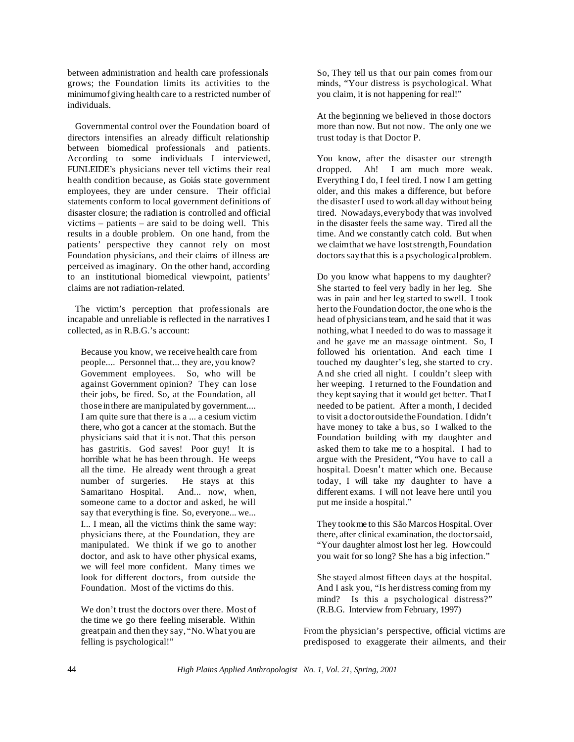between administration and health care professionals grows; the Foundation limits its activities to the minimumofgiving health care to a restricted number of individuals.

Governmental control over the Foundation board of directors intensifies an already difficult relationship between biomedical professionals and patients. According to some individuals I interviewed, FUNLEIDE's physicians never tell victims their real health condition because, as Goiás state government employees, they are under censure. Their official statements conform to local government definitions of disaster closure; the radiation is controlled and official victims – patients – are said to be doing well. This results in a double problem. On one hand, from the patients' perspective they cannot rely on most Foundation physicians, and their claims of illness are perceived as imaginary. On the other hand, according to an institutional biomedical viewpoint, patients' claims are not radiation-related.

The victim's perception that professionals are incapable and unreliable is reflected in the narratives I collected, as in R.B.G.'s account:

Because you know, we receive health care from people.... Personnel that... they are, you know? Government employees. So, who will be against Government opinion? They can lose their jobs, be fired. So, at the Foundation, all those inthere are manipulated by government.... I am quite sure that there is a ... a cesium victim there, who got a cancer at the stomach. But the physicians said that it is not. That this person has gastritis. God saves! Poor guy! It is horrible what he has been through. He weeps all the time. He already went through a great number of surgeries. He stays at this Samaritano Hospital. And... now, when, someone came to a doctor and asked, he will say that everything is fine. So, everyone... we... I... I mean, all the victims think the same way: physicians there, at the Foundation, they are manipulated. We think if we go to another doctor, and ask to have other physical exams, we will feel more confident. Many times we look for different doctors, from outside the Foundation. Most of the victims do this.

We don't trust the doctors over there. Most of the time we go there feeling miserable. Within greatpain and then they say, "No.What you are felling is psychological!"

So, They tell us that our pain comes from our minds, "Your distress is psychological. What you claim, it is not happening for real!"

At the beginning we believed in those doctors more than now. But not now. The only one we trust today is that Doctor P.

You know, after the disaster our strength dropped. Ah! I am much more weak. Everything I do, I feel tired. I now I am getting older, and this makes a difference, but before the disasterI used to work all day without being tired. Nowadays,everybody that was involved in the disaster feels the same way. Tired all the time. And we constantly catch cold. But when we claimthat we have loststrength,Foundation doctors say that this is a psychological problem.

Do you know what happens to my daughter? She started to feel very badly in her leg. She was in pain and her leg started to swell. I took herto the Foundation doctor, the one who is the head of physicians team, and he said that it was nothing,what I needed to do was to massage it and he gave me an massage ointment. So, I followed his orientation. And each time I touched my daughter's leg, she started to cry. And she cried all night. I couldn't sleep with her weeping. I returned to the Foundation and they kept saying that it would get better. That I needed to be patient. After a month, I decided to visit a doctoroutsidetheFoundation. I didn't have money to take a bus, so I walked to the Foundation building with my daughter and asked them to take me to a hospital. I had to argue with the President, "You have to call a hospital. Doesn't matter which one. Because today, I will take my daughter to have a different exams. I will not leave here until you put me inside a hospital."

They tookme to this São Marcos Hospital. Over there, after clinical examination, the doctorsaid, "Your daughter almost lost her leg. Howcould you wait for so long? She has a big infection."

She stayed almost fifteen days at the hospital. And I ask you, "Is herdistress coming from my mind? Is this a psychological distress?" (R.B.G. Interview from February, 1997)

From the physician's perspective, official victims are predisposed to exaggerate their ailments, and their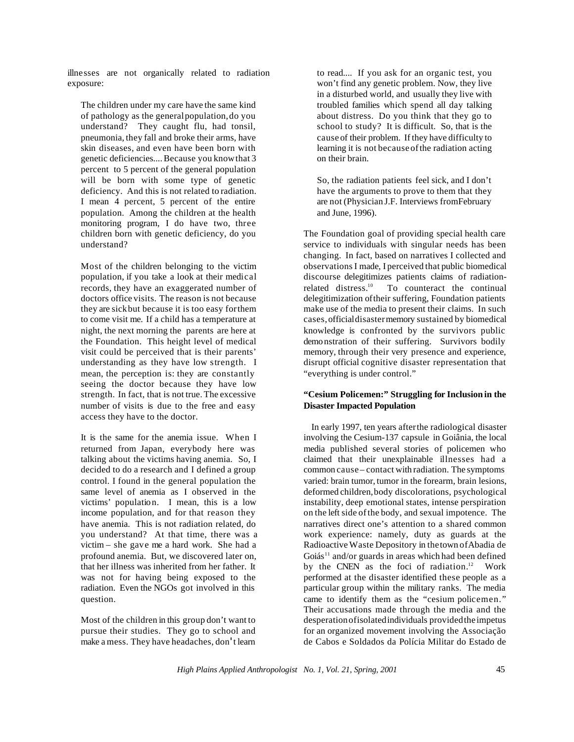illnesses are not organically related to radiation exposure:

The children under my care have the same kind of pathology as the generalpopulation,do you understand? They caught flu, had tonsil, pneumonia, they fall and broke their arms, have skin diseases, and even have been born with genetic deficiencies....Because you knowthat 3 percent to 5 percent of the general population will be born with some type of genetic deficiency. And this is not related to radiation. I mean 4 percent, 5 percent of the entire population. Among the children at the health monitoring program, I do have two, three children born with genetic deficiency, do you understand?

Most of the children belonging to the victim population, if you take a look at their medical records, they have an exaggerated number of doctors office visits. The reason is not because they are sickbut because it is too easy forthem to come visit me. If a child has a temperature at night, the next morning the parents are here at the Foundation. This height level of medical visit could be perceived that is their parents' understanding as they have low strength. I mean, the perception is: they are constantly seeing the doctor because they have low strength. In fact, that is not true. The excessive number of visits is due to the free and easy access they have to the doctor.

It is the same for the anemia issue. When I returned from Japan, everybody here was talking about the victims having anemia. So, I decided to do a research and I defined a group control. I found in the general population the same level of anemia as I observed in the victims' population. I mean, this is a low income population, and for that reason they have anemia. This is not radiation related, do you understand? At that time, there was a victim – she gave me a hard work. She had a profound anemia. But, we discovered later on, that her illness was inherited from her father. It was not for having being exposed to the radiation. Even the NGOs got involved in this question.

Most of the children in this group don't want to pursue their studies. They go to school and make a mess. They have headaches, don't learn

to read.... If you ask for an organic test, you won't find any genetic problem. Now, they live in a disturbed world, and usually they live with troubled families which spend all day talking about distress. Do you think that they go to school to study? It is difficult. So, that is the cause of their problem. If they have difficulty to learning it is not becauseofthe radiation acting on their brain.

So, the radiation patients feel sick, and I don't have the arguments to prove to them that they are not (Physician J.F. Interviews fromFebruary and June, 1996).

The Foundation goal of providing special health care service to individuals with singular needs has been changing. In fact, based on narratives I collected and observationsI made, I perceived that public biomedical discourse delegitimizes patients claims of radiationrelated distress.<sup>10</sup> To counteract the continual delegitimization oftheir suffering, Foundation patients make use of the media to present their claims. In such cases,officialdisastermemory sustained by biomedical knowledge is confronted by the survivors public demonstration of their suffering. Survivors bodily memory, through their very presence and experience, disrupt official cognitive disaster representation that "everything is under control."

# **"Cesium Policemen:" Struggling for Inclusion in the Disaster Impacted Population**

In early 1997, ten years afterthe radiological disaster involving the Cesium-137 capsule in Goiânia, the local media published several stories of policemen who claimed that their unexplainable illnesses had a common cause – contact with radiation. The symptoms varied: brain tumor, tumor in the forearm, brain lesions, deformed children,body discolorations, psychological instability, deep emotional states, intense perspiration on the left side ofthe body, and sexual impotence. The narratives direct one's attention to a shared common work experience: namely, duty as guards at the Radioactive Waste Depository in thetown ofAbadia de Goiás<sup>11</sup> and/or guards in areas which had been defined by the CNEN as the foci of radiation.<sup>12</sup> Work performed at the disaster identified these people as a particular group within the military ranks. The media came to identify them as the "cesium policemen." Their accusations made through the media and the desperationofisolatedindividuals providedtheimpetus for an organized movement involving the Associação de Cabos e Soldados da Polícia Militar do Estado de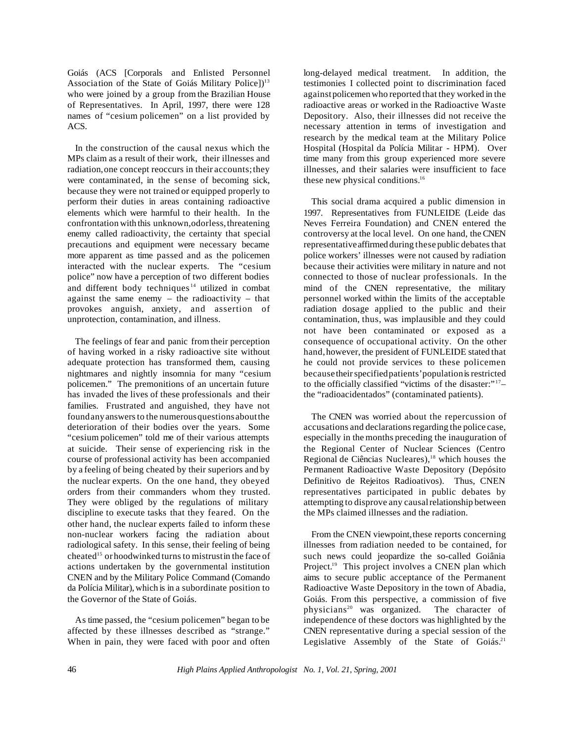Goiás (ACS [Corporals and Enlisted Personnel Association of the State of Goiás Military Police])<sup>13</sup> who were joined by a group from the Brazilian House of Representatives. In April, 1997, there were 128 names of "cesium policemen" on a list provided by ACS.

In the construction of the causal nexus which the MPs claim as a result of their work, their illnesses and radiation,one concept reoccurs in their accounts;they were contaminated, in the sense of becoming sick, because they were not trained or equipped properly to perform their duties in areas containing radioactive elements which were harmful to their health. In the confrontation with this unknown,odorless,threatening enemy called radioactivity, the certainty that special precautions and equipment were necessary became more apparent as time passed and as the policemen interacted with the nuclear experts. The "cesium police" now have a perception of two different bodies and different body techniques<sup>14</sup> utilized in combat against the same enemy – the radioactivity – that provokes anguish, anxiety, and assertion of unprotection, contamination, and illness.

The feelings of fear and panic from their perception of having worked in a risky radioactive site without adequate protection has transformed them, causing nightmares and nightly insomnia for many "cesium policemen." The premonitions of an uncertain future has invaded the lives of these professionals and their families. Frustrated and anguished, they have not foundanyanswersto the numerousquestionsaboutthe deterioration of their bodies over the years. Some "cesium policemen" told me of their various attempts at suicide. Their sense of experiencing risk in the course of professional activity has been accompanied by a feeling of being cheated by their superiors and by the nuclear experts. On the one hand, they obeyed orders from their commanders whom they trusted. They were obliged by the regulations of military discipline to execute tasks that they feared. On the other hand, the nuclear experts failed to inform these non-nuclear workers facing the radiation about radiological safety. In this sense, their feeling of being cheated<sup>15</sup> or hoodwinked turns to mistrust in the face of actions undertaken by the governmental institution CNEN and by the Military Police Command (Comando da Polícia Militar), which is in a subordinate position to the Governor of the State of Goiás.

As time passed, the "cesium policemen" began to be affected by these illnesses described as "strange." When in pain, they were faced with poor and often long-delayed medical treatment. In addition, the testimonies I collected point to discrimination faced againstpolicemen who reported that they worked in the radioactive areas or worked in the Radioactive Waste Depository. Also, their illnesses did not receive the necessary attention in terms of investigation and research by the medical team at the Military Police Hospital (Hospital da Polícia Militar - HPM). Over time many from this group experienced more severe illnesses, and their salaries were insufficient to face these new physical conditions.<sup>16</sup>

This social drama acquired a public dimension in 1997. Representatives from FUNLEIDE (Leide das Neves Ferreira Foundation) and CNEN entered the controversy at the local level. On one hand, theCNEN representative affirmed during these public debates that police workers' illnesses were not caused by radiation because their activities were military in nature and not connected to those of nuclear professionals. In the mind of the CNEN representative, the military personnel worked within the limits of the acceptable radiation dosage applied to the public and their contamination, thus, was implausible and they could not have been contaminated or exposed as a consequence of occupational activity. On the other hand,however, the president of FUNLEIDE stated that he could not provide services to these policemen because their specified patients' population is restricted to the officially classified "victims of the disaster:"<sup>17</sup>the "radioacidentados" (contaminated patients).

The CNEN was worried about the repercussion of accusations and declarations regarding the police case, especially in the months preceding the inauguration of the Regional Center of Nuclear Sciences (Centro Regional de Ciências Nucleares),<sup>18</sup> which houses the Permanent Radioactive Waste Depository (Depósito Definitivo de Rejeitos Radioativos). Thus, CNEN representatives participated in public debates by attempting to disprove any causalrelationship between the MPs claimed illnesses and the radiation.

From the CNEN viewpoint, these reports concerning illnesses from radiation needed to be contained, for such news could jeopardize the so-called Goiânia Project.<sup>19</sup> This project involves a CNEN plan which aims to secure public acceptance of the Permanent Radioactive Waste Depository in the town of Abadia, Goiás. From this perspective, a commission of five physicians<sup>20</sup> was organized. The character of physicians<sup>20</sup> was organized. independence of these doctors was highlighted by the CNEN representative during a special session of the Legislative Assembly of the State of Goiás.<sup>21</sup>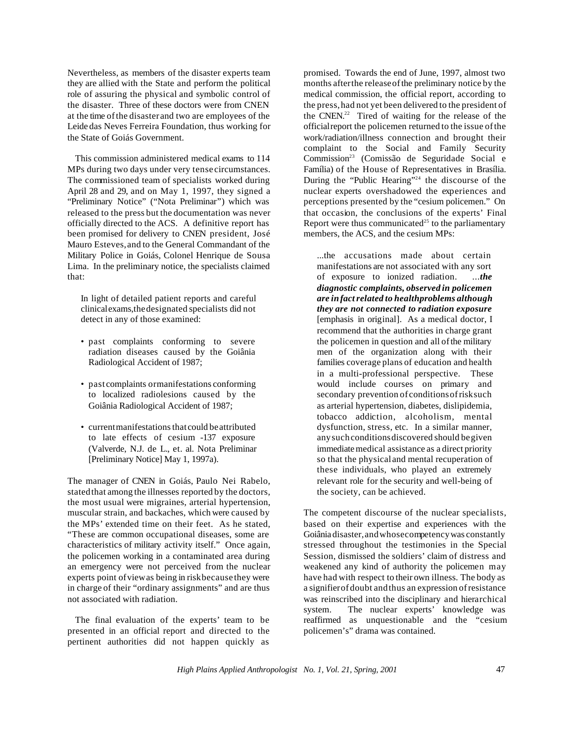Nevertheless, as members of the disaster experts team they are allied with the State and perform the political role of assuring the physical and symbolic control of the disaster. Three of these doctors were from CNEN at the time ofthe disasterand two are employees of the Leide das Neves Ferreira Foundation, thus working for the State of Goiás Government.

This commission administered medical exams to 114 MPs during two days under very tense circumstances. The commissioned team of specialists worked during April 28 and 29, and on May 1, 1997, they signed a "Preliminary Notice" ("Nota Preliminar") which was released to the press but the documentation was never officially directed to the ACS. A definitive report has been promised for delivery to CNEN president, José Mauro Esteves,and to the General Commandant of the Military Police in Goiás, Colonel Henrique de Sousa Lima. In the preliminary notice, the specialists claimed that:

In light of detailed patient reports and careful clinicalexams,thedesignated specialists did not detect in any of those examined:

- past complaints conforming to severe radiation diseases caused by the Goiânia Radiological Accident of 1987;
- past complaints ormanifestations conforming to localized radiolesions caused by the Goiânia Radiological Accident of 1987;
- current manifestations that could be attributed to late effects of cesium -137 exposure (Valverde, N.J. de L., et. al. Nota Preliminar [Preliminary Notice] May 1, 1997a).

The manager of CNEN in Goiás, Paulo Nei Rabelo, statedthat among the illnesses reported by the doctors, the most usual were migraines, arterial hypertension, muscular strain, and backaches, which were caused by the MPs' extended time on their feet. As he stated, "These are common occupational diseases, some are characteristics of military activity itself." Once again, the policemen working in a contaminated area during an emergency were not perceived from the nuclear experts point ofviewas being in riskbecause they were in charge of their "ordinary assignments" and are thus not associated with radiation.

The final evaluation of the experts' team to be presented in an official report and directed to the pertinent authorities did not happen quickly as

promised. Towards the end of June, 1997, almost two months afterthe releaseofthe preliminary notice by the medical commission, the official report, according to the press,had not yet been delivered to the president of the CNEN.<sup>22</sup> Tired of waiting for the release of the officialreport the policemen returned to the issue ofthe work/radiation/illness connection and brought their complaint to the Social and Family Security Commission<sup>23</sup> (Comissão de Seguridade Social e Família) of the House of Representatives in Brasília. During the "Public Hearing"<sup>24</sup> the discourse of the nuclear experts overshadowed the experiences and perceptions presented by the "cesium policemen." On that occasion, the conclusions of the experts' Final Report were thus communicated<sup>25</sup> to the parliamentary members, the ACS, and the cesium MPs:

...the accusations made about certain manifestations are not associated with any sort of exposure to ionized radiation. ...*the diagnostic complaints, observed in policemen are infactrelated to healthproblems although they are not connected to radiation exposure* [emphasis in original]. As a medical doctor, I recommend that the authorities in charge grant the policemen in question and all of the military men of the organization along with their families coverage plans of education and health in a multi-professional perspective. These would include courses on primary and secondary prevention of conditionsofrisksuch as arterial hypertension, diabetes, dislipidemia, tobacco addiction, alcoholism, mental dysfunction, stress, etc. In a similar manner, any such conditions discovered should be given immediate medical assistance as a direct priority so that the physicaland mental recuperation of these individuals, who played an extremely relevant role for the security and well-being of the society, can be achieved.

The competent discourse of the nuclear specialists, based on their expertise and experiences with the Goiânia disaster,andwhosecompetencywas constantly stressed throughout the testimonies in the Special Session, dismissed the soldiers' claim of distress and weakened any kind of authority the policemen may have had with respect to their own illness. The body as a signifierofdoubt andthus an expression ofresistance was reinscribed into the disciplinary and hierarchical system. The nuclear experts' knowledge was reaffirmed as unquestionable and the "cesium policemen's" drama was contained.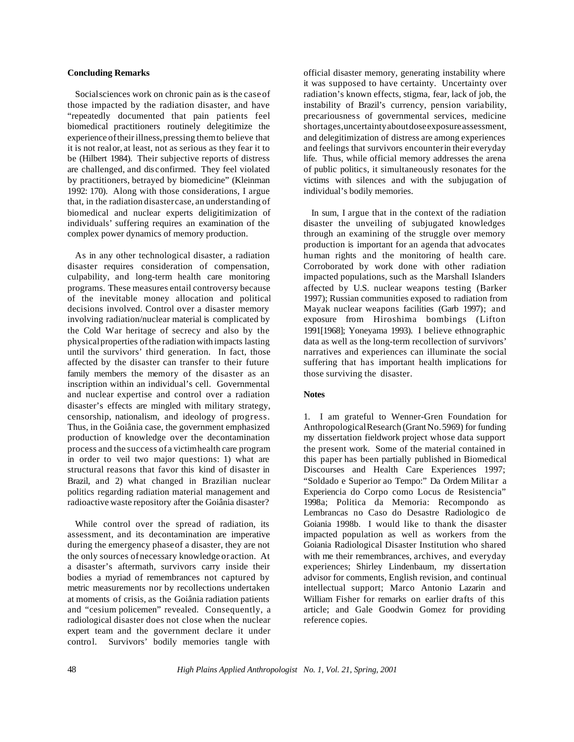#### **Concluding Remarks**

Socialsciences work on chronic pain as is the case of those impacted by the radiation disaster, and have "repeatedly documented that pain patients feel biomedical practitioners routinely delegitimize the experience oftheirillness,pressing themto believe that it is not realor, at least, not as serious as they fear it to be (Hilbert 1984). Their subjective reports of distress are challenged, and dis confirmed. They feel violated by practitioners, betrayed by biomedicine" (Kleinman 1992: 170). Along with those considerations, I argue that, in the radiation disastercase, an understanding of biomedical and nuclear experts deligitimization of individuals' suffering requires an examination of the complex power dynamics of memory production.

As in any other technological disaster, a radiation disaster requires consideration of compensation, culpability, and long-term health care monitoring programs. These measures entail controversy because of the inevitable money allocation and political decisions involved. Control over a disaster memory involving radiation/nuclear material is complicated by the Cold War heritage of secrecy and also by the physicalproperties ofthe radiation with impacts lasting until the survivors' third generation. In fact, those affected by the disaster can transfer to their future family members the memory of the disaster as an inscription within an individual's cell. Governmental and nuclear expertise and control over a radiation disaster's effects are mingled with military strategy, censorship, nationalism, and ideology of progress. Thus, in the Goiânia case, the government emphasized production of knowledge over the decontamination process and the success of a victimhealth care program in order to veil two major questions: 1) what are structural reasons that favor this kind of disaster in Brazil, and 2) what changed in Brazilian nuclear politics regarding radiation material management and radioactive waste repository after the Goiânia disaster?

While control over the spread of radiation, its assessment, and its decontamination are imperative during the emergency phaseof a disaster, they are not the only sources ofnecessary knowledge or action. At a disaster's aftermath, survivors carry inside their bodies a myriad of remembrances not captured by metric measurements nor by recollections undertaken at moments of crisis, as the Goiânia radiation patients and "cesium policemen" revealed. Consequently, a radiological disaster does not close when the nuclear expert team and the government declare it under control. Survivors' bodily memories tangle with

official disaster memory, generating instability where it was supposed to have certainty. Uncertainty over radiation's known effects, stigma, fear, lack of job, the instability of Brazil's currency, pension variability, precariousness of governmental services, medicine shortages,uncertainty about dose exposure assessment, and delegitimization of distress are among experiences and feelings that survivors encounterin their everyday life. Thus, while official memory addresses the arena of public politics, it simultaneously resonates for the victims with silences and with the subjugation of individual's bodily memories.

In sum, I argue that in the context of the radiation disaster the unveiling of subjugated knowledges through an examining of the struggle over memory production is important for an agenda that advocates human rights and the monitoring of health care. Corroborated by work done with other radiation impacted populations, such as the Marshall Islanders affected by U.S. nuclear weapons testing (Barker 1997); Russian communities exposed to radiation from Mayak nuclear weapons facilities (Garb 1997); and exposure from Hiroshima bombings (Lifton 1991[1968]; Yoneyama 1993). I believe ethnographic data as well as the long-term recollection of survivors' narratives and experiences can illuminate the social suffering that has important health implications for those surviving the disaster.

## **Notes**

1. I am grateful to Wenner-Gren Foundation for Anthropological Research (Grant No. 5969) for funding my dissertation fieldwork project whose data support the present work. Some of the material contained in this paper has been partially published in Biomedical Discourses and Health Care Experiences 1997; "Soldado e Superior ao Tempo:" Da Ordem Militar a Experiencia do Corpo como Locus de Resistencia" 1998a; Politica da Memoria: Recompondo as Lembrancas no Caso do Desastre Radiologico de Goiania 1998b. I would like to thank the disaster impacted population as well as workers from the Goiania Radiological Disaster Institution who shared with me their remembrances, archives, and everyday experiences; Shirley Lindenbaum, my dissertation advisor for comments, English revision, and continual intellectual support; Marco Antonio Lazarin and William Fisher for remarks on earlier drafts of this article; and Gale Goodwin Gomez for providing reference copies.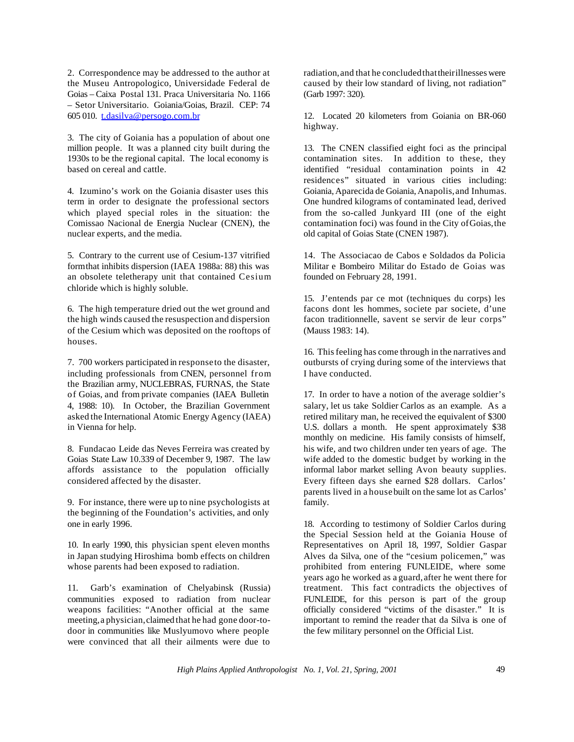2. Correspondence may be addressed to the author at the Museu Antropologico, Universidade Federal de Goias – Caixa Postal 131. Praca Universitaria No. 1166 – Setor Universitario. Goiania/Goias, Brazil. CEP: 74 605 010. t.dasilva@persogo.com.br

3. The city of Goiania has a population of about one million people. It was a planned city built during the 1930s to be the regional capital. The local economy is based on cereal and cattle.

4. Izumino's work on the Goiania disaster uses this term in order to designate the professional sectors which played special roles in the situation: the Comissao Nacional de Energia Nuclear (CNEN), the nuclear experts, and the media.

5. Contrary to the current use of Cesium-137 vitrified formthat inhibits dispersion (IAEA 1988a: 88) this was an obsolete teletherapy unit that contained Cesium chloride which is highly soluble.

6. The high temperature dried out the wet ground and the high winds caused the resuspection and dispersion of the Cesium which was deposited on the rooftops of houses.

7. 700 workers participated in response to the disaster, including professionals from CNEN, personnel from the Brazilian army, NUCLEBRAS, FURNAS, the State of Goias, and from private companies (IAEA Bulletin 4, 1988: 10). In October, the Brazilian Government asked the International Atomic Energy Agency (IAEA) in Vienna for help.

8. Fundacao Leide das Neves Ferreira was created by Goias State Law 10.339 of December 9, 1987. The law affords assistance to the population officially considered affected by the disaster.

9. For instance, there were up to nine psychologists at the beginning of the Foundation's activities, and only one in early 1996.

10. In early 1990, this physician spent eleven months in Japan studying Hiroshima bomb effects on children whose parents had been exposed to radiation.

11. Garb's examination of Chelyabinsk (Russia) communities exposed to radiation from nuclear weapons facilities: "Another official at the same meeting,a physician,claimed that he had gone door-todoor in communities like Muslyumovo where people were convinced that all their ailments were due to

radiation,and that he concludedthattheirillnesses were caused by their low standard of living, not radiation" (Garb 1997: 320).

12. Located 20 kilometers from Goiania on BR-060 highway.

13. The CNEN classified eight foci as the principal contamination sites. In addition to these, they identified "residual contamination points in 42 residences" situated in various cities including: Goiania,Aparecida de Goiania,Anapolis,and Inhumas. One hundred kilograms of contaminated lead, derived from the so-called Junkyard III (one of the eight contamination foci) was found in the City ofGoias,the old capital of Goias State (CNEN 1987).

14. The Associacao de Cabos e Soldados da Policia Militar e Bombeiro Militar do Estado de Goias was founded on February 28, 1991.

15. J'entends par ce mot (techniques du corps) les facons dont les hommes, societe par societe, d'une facon traditionnelle, savent se servir de leur corps" (Mauss 1983: 14).

16. This feeling has come through in the narratives and outbursts of crying during some of the interviews that I have conducted.

17. In order to have a notion of the average soldier's salary, let us take Soldier Carlos as an example. As a retired military man, he received the equivalent of \$300 U.S. dollars a month. He spent approximately \$38 monthly on medicine. His family consists of himself, his wife, and two children under ten years of age. The wife added to the domestic budget by working in the informal labor market selling Avon beauty supplies. Every fifteen days she earned \$28 dollars. Carlos' parents lived in a house built on the same lot as Carlos' family.

18. According to testimony of Soldier Carlos during the Special Session held at the Goiania House of Representatives on April 18, 1997, Soldier Gaspar Alves da Silva, one of the "cesium policemen," was prohibited from entering FUNLEIDE, where some years ago he worked as a guard,after he went there for treatment. This fact contradicts the objectives of FUNLEIDE, for this person is part of the group officially considered "victims of the disaster." It is important to remind the reader that da Silva is one of the few military personnel on the Official List.

*High Plains Applied Anthropologist No. 1, Vol. 21, Spring, 2001* 49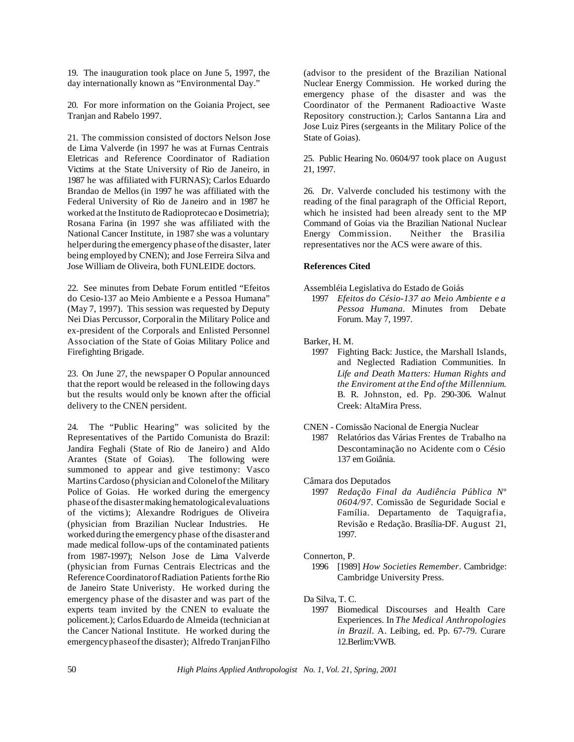19. The inauguration took place on June 5, 1997, the day internationally known as "Environmental Day."

20. For more information on the Goiania Project, see Tranjan and Rabelo 1997.

21. The commission consisted of doctors Nelson Jose de Lima Valverde (in 1997 he was at Furnas Centrais Eletricas and Reference Coordinator of Radiation Victims at the State University of Rio de Janeiro, in 1987 he was affiliated with FURNAS); Carlos Eduardo Brandao de Mellos (in 1997 he was affiliated with the Federal University of Rio de Janeiro and in 1987 he worked at the Instituto de Radioprotecao e Dosimetria); Rosana Farina (in 1997 she was affiliated with the National Cancer Institute, in 1987 she was a voluntary helperduring the emergency phase ofthe disaster, later being employed by CNEN); and Jose Ferreira Silva and Jose William de Oliveira, both FUNLEIDE doctors.

22. See minutes from Debate Forum entitled "Efeitos do Cesio-137 ao Meio Ambiente e a Pessoa Humana" (May 7, 1997). This session was requested by Deputy Nei Dias Percussor, Corporalin the Military Police and ex-president of the Corporals and Enlisted Personnel Association of the State of Goias Military Police and Firefighting Brigade.

23. On June 27, the newspaper O Popular announced that the report would be released in the following days but the results would only be known after the official delivery to the CNEN persident.

24. The "Public Hearing" was solicited by the Representatives of the Partido Comunista do Brazil: Jandira Feghali (State of Rio de Janeiro) and Aldo Arantes (State of Goias). summoned to appear and give testimony: Vasco Martins Cardoso (physician and Colonelofthe Military Police of Goias. He worked during the emergency phase ofthe disastermaking hematologicalevaluations of the victims); Alexandre Rodrigues de Oliveira (physician from Brazilian Nuclear Industries. He worked during the emergency phase ofthe disasterand made medical follow-ups of the contaminated patients from 1987-1997); Nelson Jose de Lima Valverde (physician from Furnas Centrais Electricas and the ReferenceCoordinatorofRadiation Patients forthe Rio de Janeiro State Univeristy. He worked during the emergency phase of the disaster and was part of the experts team invited by the CNEN to evaluate the policement.); Carlos Eduardo de Almeida (technician at the Cancer National Institute. He worked during the emergencyphaseofthe disaster); Alfredo TranjanFilho

(advisor to the president of the Brazilian National Nuclear Energy Commission. He worked during the emergency phase of the disaster and was the Coordinator of the Permanent Radioactive Waste Repository construction.); Carlos Santanna Lira and Jose Luiz Pires (sergeants in the Military Police of the State of Goias).

25. Public Hearing No. 0604/97 took place on August 21, 1997.

26. Dr. Valverde concluded his testimony with the reading of the final paragraph of the Official Report, which he insisted had been already sent to the MP Command of Goias via the Brazilian National Nuclear Energy Commission. Neither the Brasilia representatives nor the ACS were aware of this.

#### **References Cited**

Assembléia Legislativa do Estado de Goiás

- 1997 *Efeitos do Césio-137 ao Meio Ambiente e a Pessoa Humana*. Minutes from Debate Forum. May 7, 1997.
- Barker, H. M.
	- 1997 Fighting Back: Justice, the Marshall Islands, and Neglected Radiation Communities. In *Life and Death Matters: Human Rights and the Enviroment at the End ofthe Millennium*. B. R. Johnston, ed. Pp. 290-306. Walnut Creek: AltaMira Press.

CNEN - Comissão Nacional de Energia Nuclear

1987 Relatórios das Várias Frentes de Trabalho na Descontaminação no Acidente com o Césio 137 em Goiânia.

## Câmara dos Deputados

1997 *Redação Final da Audiência Pública Nº 0604/97.* Comissão de Seguridade Social e Família. Departamento de Taquigrafia, Revisão e Redação. Brasília-DF. August 21, 1997.

# Connerton, P.

Da Silva, T. C.

1997 Biomedical Discourses and Health Care Experiences. In *The Medical Anthropologies in Brazil*. A. Leibing, ed. Pp. 67-79. Curare 12.Berlim:VWB.

<sup>1996</sup> [1989] *How Societies Remember*. Cambridge: Cambridge University Press.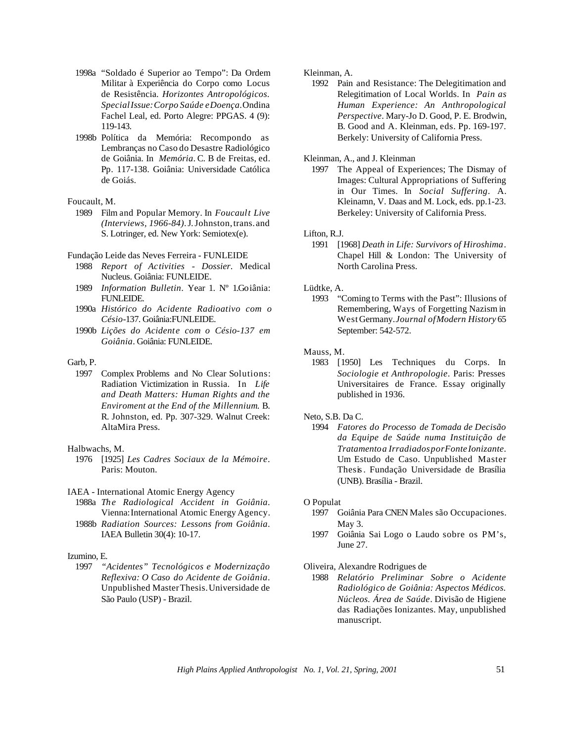- 1998a "Soldado é Superior ao Tempo": Da Ordem Militar à Experiência do Corpo como Locus de Resistência. *Horizontes Antropológicos. SpecialIssue:Corpo Saúde eDoença*.Ondina Fachel Leal, ed. Porto Alegre: PPGAS. 4 (9): 119-143.
- 1998b Política da Memória: Recompondo as Lembranças no Caso do Desastre Radiológico de Goiânia. In *Memória*. C. B de Freitas, ed. Pp. 117-138. Goiânia: Universidade Católica de Goiás.

#### Foucault, M.

1989 Film and Popular Memory. In *Foucault Live (Interviews, 1966-84)*.J.Johnston,trans.and S. Lotringer, ed. New York: Semiotex(e).

Fundação Leide das Neves Ferreira - FUNLEIDE

- 1988 *Report of Activities - Dossier*. Medical Nucleus. Goiânia: FUNLEIDE.
- 1989 *Information Bulletin*. Year 1. Nº 1.Goiânia: FUNLEIDE.
- 1990a *Histórico do Acidente Radioativo com o Césio*-137. Goiânia:FUNLEIDE.
- 1990b *Lições do Acidente com o Césio-137 em Goiânia*. Goiânia: FUNLEIDE.

### Garb, P.

1997 Complex Problems and No Clear Solutions: Radiation Victimization in Russia. In *Life and Death Matters: Human Rights and the Enviroment at the End of the Millennium*. B. R. Johnston, ed. Pp. 307-329. Walnut Creek: AltaMira Press.

## Halbwachs, M.

1976 [1925] *Les Cadres Sociaux de la Mémoire*. Paris: Mouton.

#### IAEA - International Atomic Energy Agency

- 1988a *The Radiological Accident in Goiânia*. Vienna: International Atomic Energy Agency.
- 1988b *Radiation Sources: Lessons from Goiânia*. IAEA Bulletin 30(4): 10-17.

#### Izumino, E.

1997 *"Acidentes" Tecnológicos e Modernização Reflexiva: O Caso do Acidente de Goiânia*. Unpublished MasterThesis.Universidade de São Paulo (USP) - Brazil.

## Kleinman, A.

1992 Pain and Resistance: The Delegitimation and Relegitimation of Local Worlds. In *Pain as Human Experience: An Anthropological Perspective*. Mary-Jo D. Good, P. E. Brodwin, B. Good and A. Kleinman, eds. Pp. 169-197. Berkely: University of California Press.

#### Kleinman, A., and J. Kleinman

1997 The Appeal of Experiences; The Dismay of Images: Cultural Appropriations of Suffering in Our Times. In *Social Suffering*. A. Kleinamn, V. Daas and M. Lock, eds. pp.1-23. Berkeley: University of California Press.

#### Lifton, R.J.

1991 [1968] *Death in Life: Survivors of Hiroshima*. Chapel Hill & London: The University of North Carolina Press.

# Lüdtke, A.

1993 "Coming to Terms with the Past": Illusions of Remembering, Ways of Forgetting Nazism in WestGermany.*Journal ofModern History* 65 September: 542-572.

#### Mauss, M.

1983 [1950] Les Techniques du Corps. In *Sociologie et Anthropologie*. Paris: Presses Universitaires de France. Essay originally published in 1936.

#### Neto, S.B. Da C.

1994 *Fatores do Processo de Tomada de Decisão da Equipe de Saúde numa Instituição de Tratamentoa IrradiadosporFonteIonizante*. Um Estudo de Caso. Unpublished Master Thesis. Fundação Universidade de Brasília (UNB). Brasília - Brazil.

#### O Populat

- 1997 Goiânia Para CNEN Males são Occupaciones. May 3.
- 1997 Goiânia Sai Logo o Laudo sobre os PM's, June 27.

# Oliveira, Alexandre Rodrigues de

1988 *Relatório Preliminar Sobre o Acidente Radiológico de Goiânia: Aspectos Médicos. Núcleos. Área de Saúde*. Divisão de Higiene das Radiações Ionizantes. May, unpublished manuscript.

*High Plains Applied Anthropologist No. 1, Vol. 21, Spring, 2001* 51